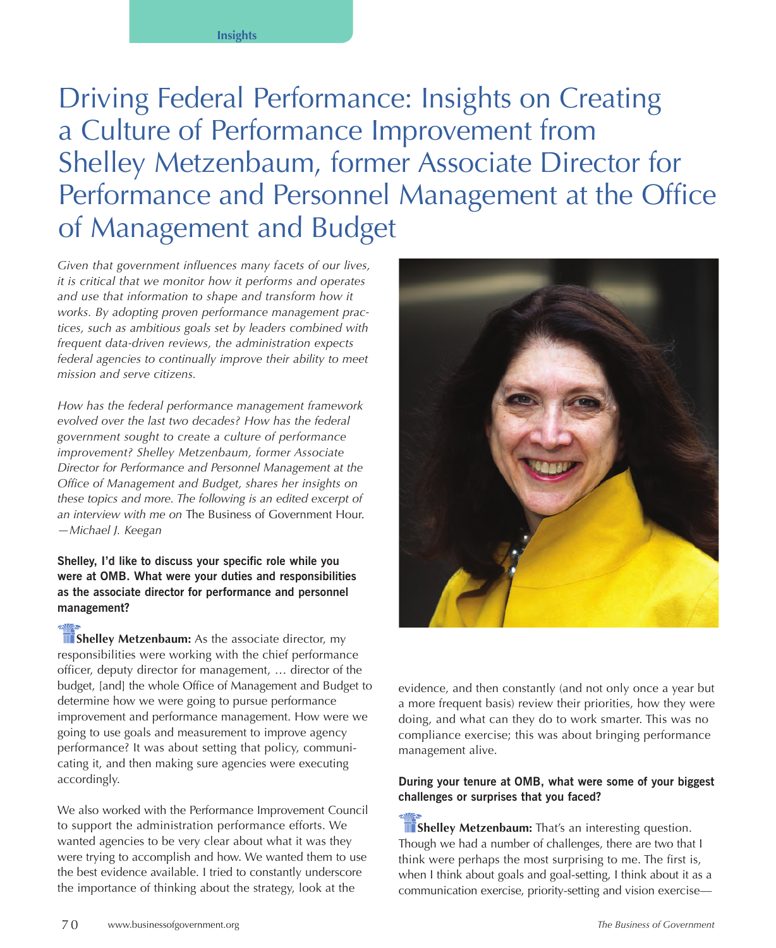Driving Federal Performance: Insights on Creating a Culture of Performance Improvement from Shelley Metzenbaum, former Associate Director for Performance and Personnel Management at the Office of Management and Budget

*Given that government influences many facets of our lives, it is critical that we monitor how it performs and operates and use that information to shape and transform how it works. By adopting proven performance management practices, such as ambitious goals set by leaders combined with frequent data-driven reviews, the administration expects federal agencies to continually improve their ability to meet mission and serve citizens.*

*How has the federal performance management framework evolved over the last two decades? How has the federal government sought to create a culture of performance improvement? Shelley Metzenbaum, former Associate Director for Performance and Personnel Management at the Office of Management and Budget, shares her insights on these topics and more. The following is an edited excerpt of an interview with me on* The Business of Government Hour. *—Michael J. Keegan*

**Shelley, I'd like to discuss your specific role while you were at OMB. What were your duties and responsibilities as the associate director for performance and personnel management?**

**Shelley Metzenbaum:** As the associate director, my responsibilities were working with the chief performance officer, deputy director for management, … director of the budget, [and] the whole Office of Management and Budget to determine how we were going to pursue performance improvement and performance management. How were we going to use goals and measurement to improve agency performance? It was about setting that policy, communicating it, and then making sure agencies were executing accordingly.

We also worked with the Performance Improvement Council to support the administration performance efforts. We wanted agencies to be very clear about what it was they were trying to accomplish and how. We wanted them to use the best evidence available. I tried to constantly underscore the importance of thinking about the strategy, look at the



evidence, and then constantly (and not only once a year but a more frequent basis) review their priorities, how they were doing, and what can they do to work smarter. This was no compliance exercise; this was about bringing performance management alive.

## **During your tenure at OMB, what were some of your biggest challenges or surprises that you faced?**

**Shelley Metzenbaum:** That's an interesting question. Though we had a number of challenges, there are two that I think were perhaps the most surprising to me. The first is, when I think about goals and goal-setting, I think about it as a communication exercise, priority-setting and vision exercise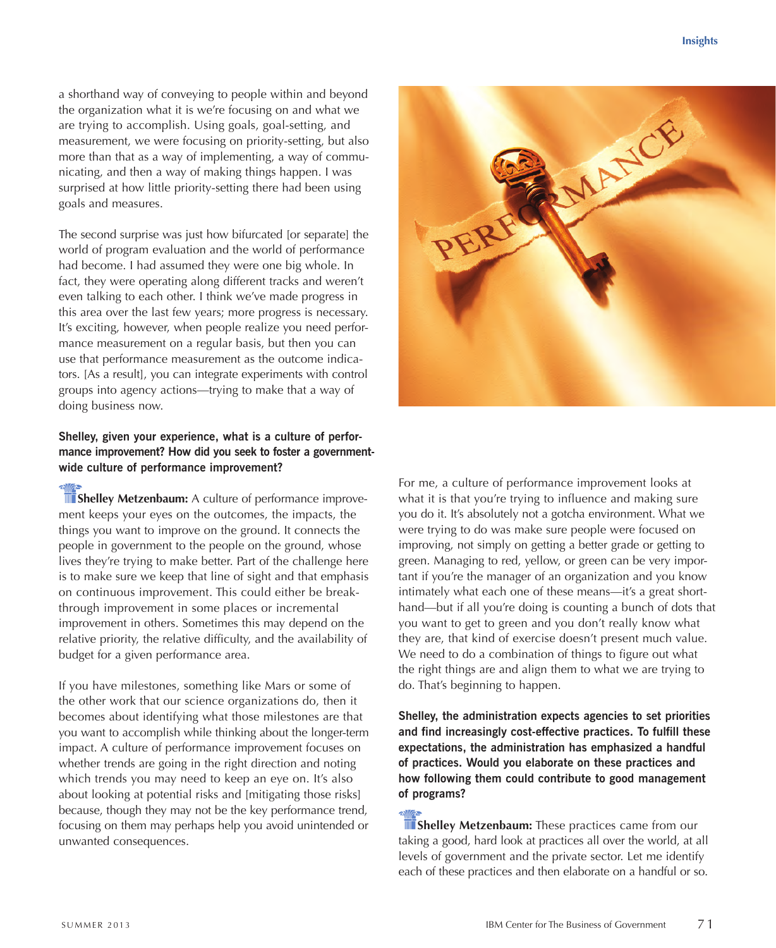a shorthand way of conveying to people within and beyond the organization what it is we're focusing on and what we are trying to accomplish. Using goals, goal-setting, and measurement, we were focusing on priority-setting, but also more than that as a way of implementing, a way of communicating, and then a way of making things happen. I was surprised at how little priority-setting there had been using goals and measures.

The second surprise was just how bifurcated [or separate] the world of program evaluation and the world of performance had become. I had assumed they were one big whole. In fact, they were operating along different tracks and weren't even talking to each other. I think we've made progress in this area over the last few years; more progress is necessary. It's exciting, however, when people realize you need performance measurement on a regular basis, but then you can use that performance measurement as the outcome indicators. [As a result], you can integrate experiments with control groups into agency actions—trying to make that a way of doing business now.

## **Shelley, given your experience, what is a culture of performance improvement? How did you seek to foster a governmentwide culture of performance improvement?**

**Shelley Metzenbaum:** A culture of performance improvement keeps your eyes on the outcomes, the impacts, the things you want to improve on the ground. It connects the people in government to the people on the ground, whose lives they're trying to make better. Part of the challenge here is to make sure we keep that line of sight and that emphasis on continuous improvement. This could either be breakthrough improvement in some places or incremental improvement in others. Sometimes this may depend on the relative priority, the relative difficulty, and the availability of budget for a given performance area.

If you have milestones, something like Mars or some of the other work that our science organizations do, then it becomes about identifying what those milestones are that you want to accomplish while thinking about the longer-term impact. A culture of performance improvement focuses on whether trends are going in the right direction and noting which trends you may need to keep an eye on. It's also about looking at potential risks and [mitigating those risks] because, though they may not be the key performance trend, focusing on them may perhaps help you avoid unintended or unwanted consequences.



For me, a culture of performance improvement looks at what it is that you're trying to influence and making sure you do it. It's absolutely not a gotcha environment. What we were trying to do was make sure people were focused on improving, not simply on getting a better grade or getting to green. Managing to red, yellow, or green can be very important if you're the manager of an organization and you know intimately what each one of these means—it's a great shorthand—but if all you're doing is counting a bunch of dots that you want to get to green and you don't really know what they are, that kind of exercise doesn't present much value. We need to do a combination of things to figure out what the right things are and align them to what we are trying to do. That's beginning to happen.

**Shelley, the administration expects agencies to set priorities and find increasingly cost-effective practices. To fulfill these expectations, the administration has emphasized a handful of practices. Would you elaborate on these practices and how following them could contribute to good management of programs?**

**II** Shelley Metzenbaum: These practices came from our taking a good, hard look at practices all over the world, at all levels of government and the private sector. Let me identify each of these practices and then elaborate on a handful or so.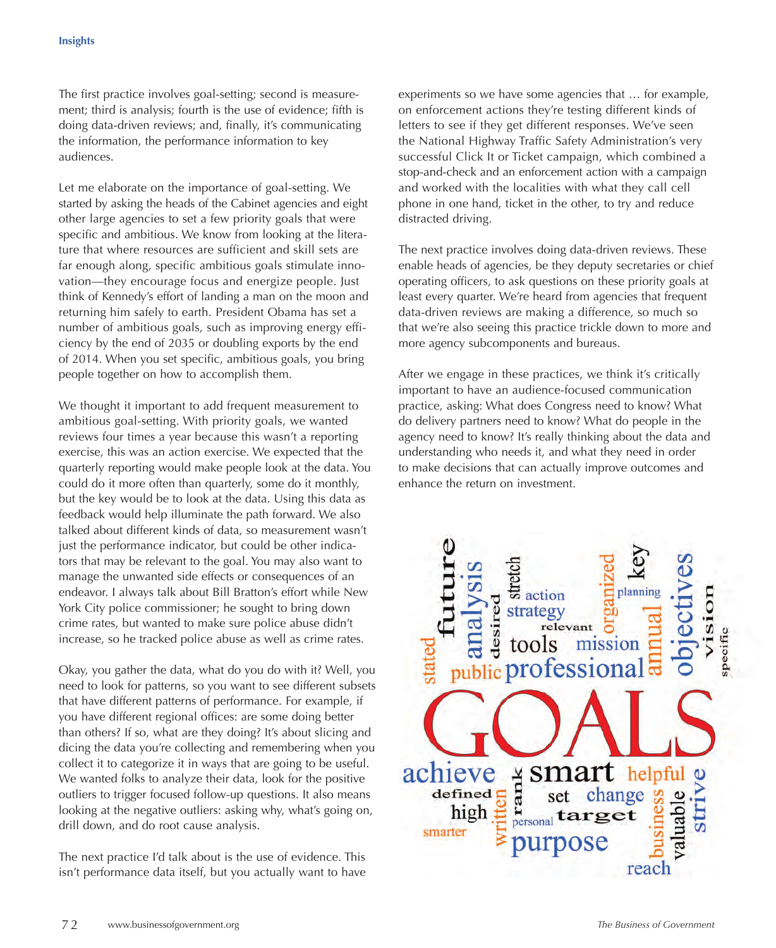The first practice involves goal-setting; second is measurement; third is analysis; fourth is the use of evidence; fifth is doing data-driven reviews; and, finally, it's communicating the information, the performance information to key audiences.

Let me elaborate on the importance of goal-setting. We started by asking the heads of the Cabinet agencies and eight other large agencies to set a few priority goals that were specific and ambitious. We know from looking at the literature that where resources are sufficient and skill sets are far enough along, specific ambitious goals stimulate innovation—they encourage focus and energize people. Just think of Kennedy's effort of landing a man on the moon and returning him safely to earth. President Obama has set a number of ambitious goals, such as improving energy efficiency by the end of 2035 or doubling exports by the end of 2014. When you set specific, ambitious goals, you bring people together on how to accomplish them.

We thought it important to add frequent measurement to ambitious goal-setting. With priority goals, we wanted reviews four times a year because this wasn't a reporting exercise, this was an action exercise. We expected that the quarterly reporting would make people look at the data. You could do it more often than quarterly, some do it monthly, but the key would be to look at the data. Using this data as feedback would help illuminate the path forward. We also talked about different kinds of data, so measurement wasn't just the performance indicator, but could be other indicators that may be relevant to the goal. You may also want to manage the unwanted side effects or consequences of an endeavor. I always talk about Bill Bratton's effort while New York City police commissioner; he sought to bring down crime rates, but wanted to make sure police abuse didn't increase, so he tracked police abuse as well as crime rates.

Okay, you gather the data, what do you do with it? Well, you need to look for patterns, so you want to see different subsets that have different patterns of performance. For example, if you have different regional offices: are some doing better than others? If so, what are they doing? It's about slicing and dicing the data you're collecting and remembering when you collect it to categorize it in ways that are going to be useful. We wanted folks to analyze their data, look for the positive outliers to trigger focused follow-up questions. It also means looking at the negative outliers: asking why, what's going on, drill down, and do root cause analysis.

The next practice I'd talk about is the use of evidence. This isn't performance data itself, but you actually want to have experiments so we have some agencies that … for example, on enforcement actions they're testing different kinds of letters to see if they get different responses. We've seen the National Highway Traffic Safety Administration's very successful Click It or Ticket campaign, which combined a stop-and-check and an enforcement action with a campaign and worked with the localities with what they call cell phone in one hand, ticket in the other, to try and reduce distracted driving.

The next practice involves doing data-driven reviews. These enable heads of agencies, be they deputy secretaries or chief operating officers, to ask questions on these priority goals at least every quarter. We're heard from agencies that frequent data-driven reviews are making a difference, so much so that we're also seeing this practice trickle down to more and more agency subcomponents and bureaus.

After we engage in these practices, we think it's critically important to have an audience-focused communication practice, asking: What does Congress need to know? What do delivery partners need to know? What do people in the agency need to know? It's really thinking about the data and understanding who needs it, and what they need in order to make decisions that can actually improve outcomes and enhance the return on investment.

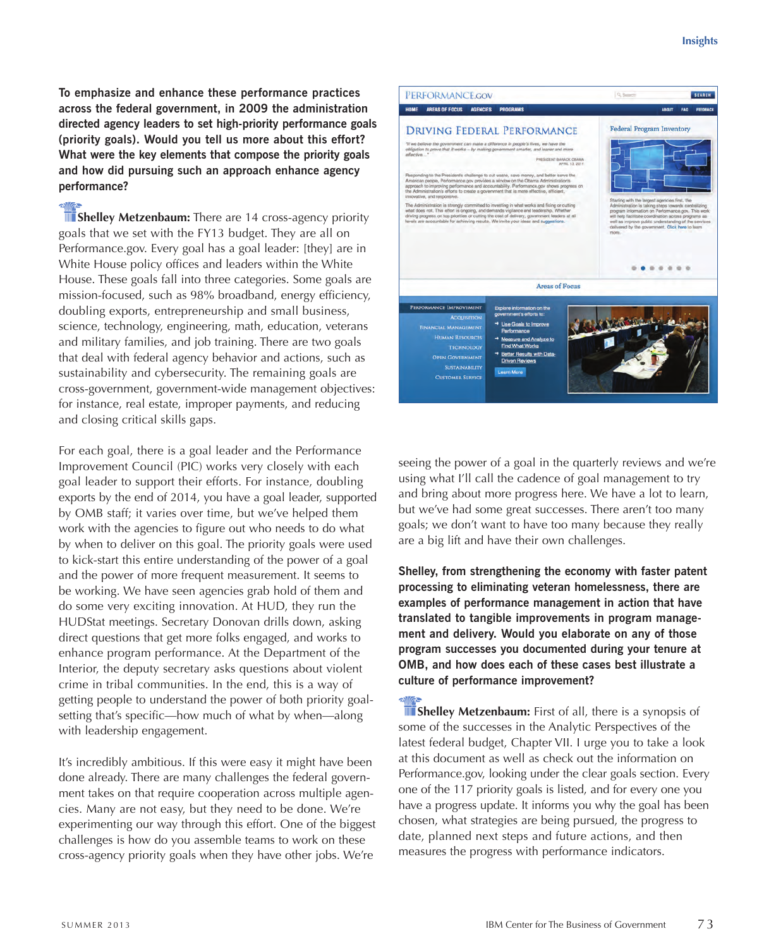**To emphasize and enhance these performance practices across the federal government, in 2009 the administration directed agency leaders to set high-priority performance goals (priority goals). Would you tell us more about this effort? What were the key elements that compose the priority goals and how did pursuing such an approach enhance agency performance?**

**Shelley Metzenbaum:** There are 14 cross-agency priority goals that we set with the FY13 budget. They are all on Performance.gov. Every goal has a goal leader: [they] are in White House policy offices and leaders within the White House. These goals fall into three categories. Some goals are mission-focused, such as 98% broadband, energy efficiency, doubling exports, entrepreneurship and small business, science, technology, engineering, math, education, veterans and military families, and job training. There are two goals that deal with federal agency behavior and actions, such as sustainability and cybersecurity. The remaining goals are cross-government, government-wide management objectives: for instance, real estate, improper payments, and reducing and closing critical skills gaps.

For each goal, there is a goal leader and the Performance Improvement Council (PIC) works very closely with each goal leader to support their efforts. For instance, doubling exports by the end of 2014, you have a goal leader, supported by OMB staff; it varies over time, but we've helped them work with the agencies to figure out who needs to do what by when to deliver on this goal. The priority goals were used to kick-start this entire understanding of the power of a goal and the power of more frequent measurement. It seems to be working. We have seen agencies grab hold of them and do some very exciting innovation. At HUD, they run the HUDStat meetings. Secretary Donovan drills down, asking direct questions that get more folks engaged, and works to enhance program performance. At the Department of the Interior, the deputy secretary asks questions about violent crime in tribal communities. In the end, this is a way of getting people to understand the power of both priority goalsetting that's specific—how much of what by when—along with leadership engagement.

It's incredibly ambitious. If this were easy it might have been done already. There are many challenges the federal government takes on that require cooperation across multiple agencies. Many are not easy, but they need to be done. We're experimenting our way through this effort. One of the biggest challenges is how do you assemble teams to work on these cross-agency priority goals when they have other jobs. We're



seeing the power of a goal in the quarterly reviews and we're using what I'll call the cadence of goal management to try and bring about more progress here. We have a lot to learn, but we've had some great successes. There aren't too many goals; we don't want to have too many because they really are a big lift and have their own challenges.

**Shelley, from strengthening the economy with faster patent processing to eliminating veteran homelessness, there are examples of performance management in action that have translated to tangible improvements in program management and delivery. Would you elaborate on any of those program successes you documented during your tenure at OMB, and how does each of these cases best illustrate a culture of performance improvement?**

**Shelley Metzenbaum:** First of all, there is a synopsis of some of the successes in the Analytic Perspectives of the latest federal budget, Chapter VII. I urge you to take a look at this document as well as check out the information on Performance.gov, looking under the clear goals section. Every one of the 117 priority goals is listed, and for every one you have a progress update. It informs you why the goal has been chosen, what strategies are being pursued, the progress to date, planned next steps and future actions, and then measures the progress with performance indicators.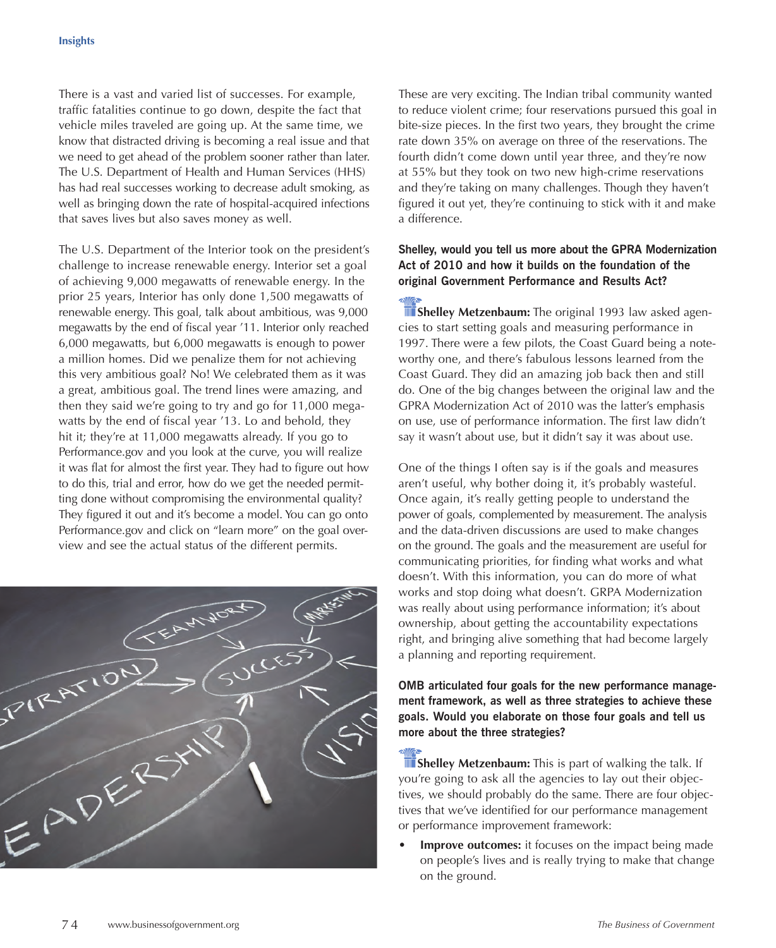There is a vast and varied list of successes. For example, traffic fatalities continue to go down, despite the fact that vehicle miles traveled are going up. At the same time, we know that distracted driving is becoming a real issue and that we need to get ahead of the problem sooner rather than later. The U.S. Department of Health and Human Services (HHS) has had real successes working to decrease adult smoking, as well as bringing down the rate of hospital-acquired infections that saves lives but also saves money as well.

The U.S. Department of the Interior took on the president's challenge to increase renewable energy. Interior set a goal of achieving 9,000 megawatts of renewable energy. In the prior 25 years, Interior has only done 1,500 megawatts of renewable energy. This goal, talk about ambitious, was 9,000 megawatts by the end of fiscal year '11. Interior only reached 6,000 megawatts, but 6,000 megawatts is enough to power a million homes. Did we penalize them for not achieving this very ambitious goal? No! We celebrated them as it was a great, ambitious goal. The trend lines were amazing, and then they said we're going to try and go for 11,000 megawatts by the end of fiscal year '13. Lo and behold, they hit it; they're at 11,000 megawatts already. If you go to Performance.gov and you look at the curve, you will realize it was flat for almost the first year. They had to figure out how to do this, trial and error, how do we get the needed permitting done without compromising the environmental quality? They figured it out and it's become a model. You can go onto Performance.gov and click on "learn more" on the goal overview and see the actual status of the different permits.



These are very exciting. The Indian tribal community wanted to reduce violent crime; four reservations pursued this goal in bite-size pieces. In the first two years, they brought the crime rate down 35% on average on three of the reservations. The fourth didn't come down until year three, and they're now at 55% but they took on two new high-crime reservations and they're taking on many challenges. Though they haven't figured it out yet, they're continuing to stick with it and make a difference.

## **Shelley, would you tell us more about the GPRA Modernization Act of 2010 and how it builds on the foundation of the original Government Performance and Results Act?**

**Shelley Metzenbaum:** The original 1993 law asked agencies to start setting goals and measuring performance in 1997. There were a few pilots, the Coast Guard being a noteworthy one, and there's fabulous lessons learned from the Coast Guard. They did an amazing job back then and still do. One of the big changes between the original law and the GPRA Modernization Act of 2010 was the latter's emphasis on use, use of performance information. The first law didn't say it wasn't about use, but it didn't say it was about use.

One of the things I often say is if the goals and measures aren't useful, why bother doing it, it's probably wasteful. Once again, it's really getting people to understand the power of goals, complemented by measurement. The analysis and the data-driven discussions are used to make changes on the ground. The goals and the measurement are useful for communicating priorities, for finding what works and what doesn't. With this information, you can do more of what works and stop doing what doesn't. GRPA Modernization was really about using performance information; it's about ownership, about getting the accountability expectations right, and bringing alive something that had become largely a planning and reporting requirement.

## **OMB articulated four goals for the new performance management framework, as well as three strategies to achieve these goals. Would you elaborate on those four goals and tell us more about the three strategies?**

**Shelley Metzenbaum:** This is part of walking the talk. If you're going to ask all the agencies to lay out their objectives, we should probably do the same. There are four objectives that we've identified for our performance management or performance improvement framework:

**Improve outcomes:** it focuses on the impact being made on people's lives and is really trying to make that change on the ground.